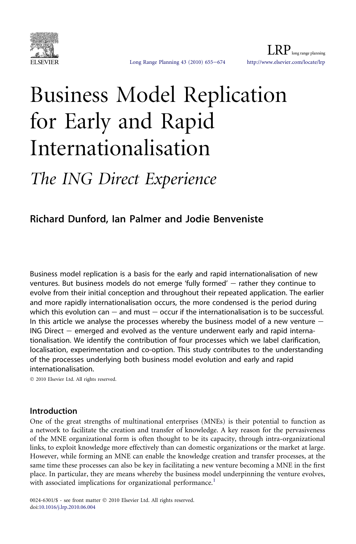

[Long Range Planning 43 \(2010\) 655](http://dx.doi.org/10.1016/j.lrp.2010.06.004)-[674](http://dx.doi.org/10.1016/j.lrp.2010.06.004) <http://www.elsevier.com/locate/lrp>

# Business Model Replication for Early and Rapid Internationalisation

## The ING Direct Experience

#### Richard Dunford, Ian Palmer and Jodie Benveniste

Business model replication is a basis for the early and rapid internationalisation of new ventures. But business models do not emerge 'fully formed' - rather they continue to evolve from their initial conception and throughout their repeated application. The earlier and more rapidly internationalisation occurs, the more condensed is the period during which this evolution can  $-$  and must  $-$  occur if the internationalisation is to be successful. In this article we analyse the processes whereby the business model of a new venture  $-$ ING Direct  $-$  emerged and evolved as the venture underwent early and rapid internationalisation. We identify the contribution of four processes which we label clarification, localisation, experimentation and co-option. This study contributes to the understanding of the processes underlying both business model evolution and early and rapid internationalisation.

2010 Elsevier Ltd. All rights reserved.

#### Introduction

One of the great strengths of multinational enterprises (MNEs) is their potential to function as a network to facilitate the creation and transfer of knowledge. A key reason for the pervasiveness of the MNE organizational form is often thought to be its capacity, through intra-organizational links, to exploit knowledge more effectively than can domestic organizations or the market at large. However, while forming an MNE can enable the knowledge creation and transfer processes, at the same time these processes can also be key in facilitating a new venture becoming a MNE in the first place. In particular, they are means whereby the business model underpinning the venture evolves, with associated implications for organizational performance.<sup>[1](#page--1-0)</sup>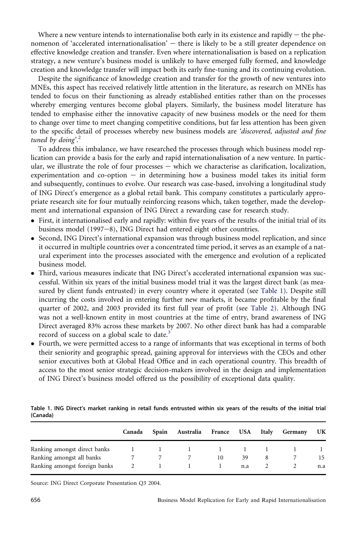Where a new venture intends to internationalise both early in its existence and rapidly  $-$  the phenomenon of 'accelerated internationalisation' - there is likely to be a still greater dependence on effective knowledge creation and transfer. Even where internationalisation is based on a replication strategy, a new venture's business model is unlikely to have emerged fully formed, and knowledge creation and knowledge transfer will impact both its early fine-tuning and its continuing evolution.

Despite the significance of knowledge creation and transfer for the growth of new ventures into MNEs, this aspect has received relatively little attention in the literature, as research on MNEs has tended to focus on their functioning as already established entities rather than on the processes whereby emerging ventures become global players. Similarly, the business model literature has tended to emphasise either the innovative capacity of new business models or the need for them to change over time to meet changing competitive conditions, but far less attention has been given to the specific detail of processes whereby new business models are 'discovered, adjusted and fine tuned by doing'.<sup>[2](#page--1-0)</sup>

To address this imbalance, we have researched the processes through which business model replication can provide a basis for the early and rapid internationalisation of a new venture. In particular, we illustrate the role of four processes  $-$  which we characterise as clarification, localization, experimentation and co-option  $-$  in determining how a business model takes its initial form and subsequently, continues to evolve. Our research was case-based, involving a longitudinal study of ING Direct's emergence as a global retail bank. This company constitutes a particularly appropriate research site for four mutually reinforcing reasons which, taken together, made the development and international expansion of ING Direct a rewarding case for research study.

- First, it internationalised early and rapidly: within five years of the results of the initial trial of its business model (1997-8), ING Direct had entered eight other countries.
- Second, ING Direct's international expansion was through business model replication, and since it occurred in multiple countries over a concentrated time period, it serves as an example of a natural experiment into the processes associated with the emergence and evolution of a replicated business model.
- Third, various measures indicate that ING Direct's accelerated international expansion was successful. Within six years of the initial business model trial it was the largest direct bank (as measured by client funds entrusted) in every country where it operated (see Table 1). Despite still incurring the costs involved in entering further new markets, it became profitable by the final quarter of 2002, and 2003 provided its first full year of profit (see [Table 2](#page--1-0)). Although ING was not a well-known entity in most countries at the time of entry, brand awareness of ING Direct averaged 83% across these markets by 2007. No other direct bank has had a comparable record of success on a global scale to date.<sup>[3](#page--1-0)</sup>
- Fourth, we were permitted access to a range of informants that was exceptional in terms of both their seniority and geographic spread, gaining approval for interviews with the CEOs and other senior executives both at Global Head Office and in each operational country. This breadth of access to the most senior strategic decision-makers involved in the design and implementation of ING Direct's business model offered us the possibility of exceptional data quality.

|          |  |  |  | Table 1. ING Direct's market ranking in retail funds entrusted within six years of the results of the initial trial |  |  |  |  |  |
|----------|--|--|--|---------------------------------------------------------------------------------------------------------------------|--|--|--|--|--|
| (Canada) |  |  |  |                                                                                                                     |  |  |  |  |  |

|                               | Canada | Spain | Australia | France | <b>USA</b> | Italy | Germany | UK  |
|-------------------------------|--------|-------|-----------|--------|------------|-------|---------|-----|
| Ranking amongst direct banks  |        |       |           |        |            |       |         |     |
| Ranking amongst all banks     |        |       | 7         | 10     | 39         | 8     |         | 15  |
| Ranking amongst foreign banks |        |       |           |        | n.a        |       |         | n.a |

Source: ING Direct Corporate Presentation Q3 2004.